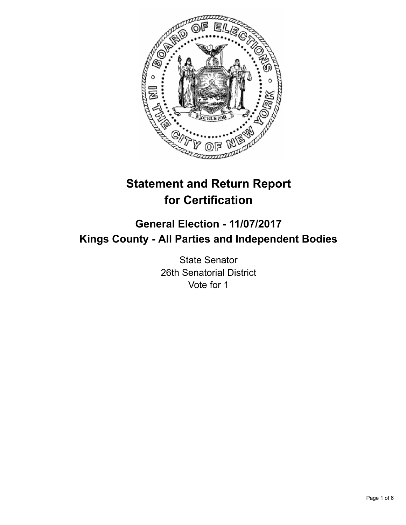

# **Statement and Return Report for Certification**

## **General Election - 11/07/2017 Kings County - All Parties and Independent Bodies**

State Senator 26th Senatorial District Vote for 1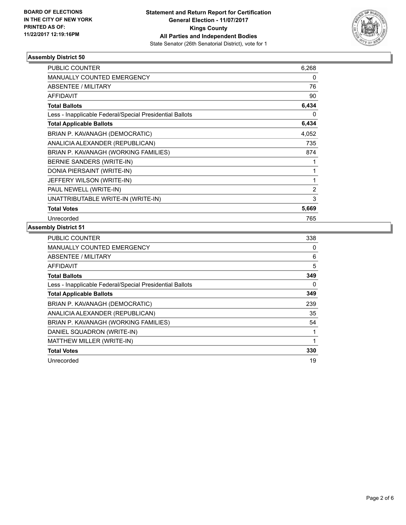

#### **Assembly District 50**

| <b>PUBLIC COUNTER</b>                                    | 6,268          |
|----------------------------------------------------------|----------------|
| <b>MANUALLY COUNTED EMERGENCY</b>                        | 0              |
| ABSENTEE / MILITARY                                      | 76             |
| <b>AFFIDAVIT</b>                                         | 90             |
| <b>Total Ballots</b>                                     | 6,434          |
| Less - Inapplicable Federal/Special Presidential Ballots | 0              |
| <b>Total Applicable Ballots</b>                          | 6,434          |
| BRIAN P. KAVANAGH (DEMOCRATIC)                           | 4,052          |
| ANALICIA ALEXANDER (REPUBLICAN)                          | 735            |
| BRIAN P. KAVANAGH (WORKING FAMILIES)                     | 874            |
| BERNIE SANDERS (WRITE-IN)                                | 1              |
| DONIA PIERSAINT (WRITE-IN)                               | 1              |
| JEFFERY WILSON (WRITE-IN)                                | 1              |
| PAUL NEWELL (WRITE-IN)                                   | $\overline{2}$ |
| UNATTRIBUTABLE WRITE-IN (WRITE-IN)                       | 3              |
| <b>Total Votes</b>                                       | 5,669          |
| Unrecorded                                               | 765            |

### **Assembly District 51**

| <b>PUBLIC COUNTER</b>                                    | 338 |
|----------------------------------------------------------|-----|
| MANUALLY COUNTED EMERGENCY                               | 0   |
| ABSENTEE / MILITARY                                      | 6   |
| AFFIDAVIT                                                | 5   |
| <b>Total Ballots</b>                                     | 349 |
| Less - Inapplicable Federal/Special Presidential Ballots | 0   |
| <b>Total Applicable Ballots</b>                          | 349 |
| BRIAN P. KAVANAGH (DEMOCRATIC)                           | 239 |
| ANALICIA ALEXANDER (REPUBLICAN)                          | 35  |
| BRIAN P. KAVANAGH (WORKING FAMILIES)                     | 54  |
| DANIEL SQUADRON (WRITE-IN)                               | 1   |
| MATTHEW MILLER (WRITE-IN)                                | 1   |
| <b>Total Votes</b>                                       | 330 |
| Unrecorded                                               | 19  |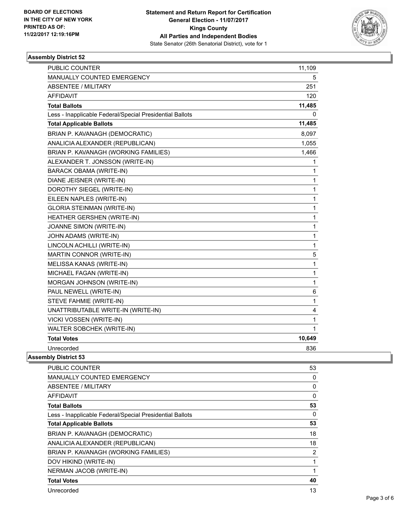

#### **Assembly District 52**

| <b>PUBLIC COUNTER</b>                                    | 11,109       |
|----------------------------------------------------------|--------------|
| MANUALLY COUNTED EMERGENCY                               | 5            |
| <b>ABSENTEE / MILITARY</b>                               | 251          |
| <b>AFFIDAVIT</b>                                         | 120          |
| <b>Total Ballots</b>                                     | 11,485       |
| Less - Inapplicable Federal/Special Presidential Ballots | 0            |
| <b>Total Applicable Ballots</b>                          | 11,485       |
| BRIAN P. KAVANAGH (DEMOCRATIC)                           | 8,097        |
| ANALICIA ALEXANDER (REPUBLICAN)                          | 1,055        |
| BRIAN P. KAVANAGH (WORKING FAMILIES)                     | 1,466        |
| ALEXANDER T. JONSSON (WRITE-IN)                          | 1            |
| <b>BARACK OBAMA (WRITE-IN)</b>                           | $\mathbf 1$  |
| DIANE JEISNER (WRITE-IN)                                 | 1            |
| DOROTHY SIEGEL (WRITE-IN)                                | $\mathbf 1$  |
| EILEEN NAPLES (WRITE-IN)                                 | 1            |
| <b>GLORIA STEINMAN (WRITE-IN)</b>                        | $\mathbf 1$  |
| HEATHER GERSHEN (WRITE-IN)                               | 1            |
| JOANNE SIMON (WRITE-IN)                                  | 1            |
| JOHN ADAMS (WRITE-IN)                                    | $\mathbf 1$  |
| LINCOLN ACHILLI (WRITE-IN)                               | 1            |
| MARTIN CONNOR (WRITE-IN)                                 | 5            |
| MELISSA KANAS (WRITE-IN)                                 | 1            |
| MICHAEL FAGAN (WRITE-IN)                                 | 1            |
| MORGAN JOHNSON (WRITE-IN)                                | $\mathbf{1}$ |
| PAUL NEWELL (WRITE-IN)                                   | 6            |
| STEVE FAHMIE (WRITE-IN)                                  | $\mathbf{1}$ |
| UNATTRIBUTABLE WRITE-IN (WRITE-IN)                       | 4            |
| VICKI VOSSEN (WRITE-IN)                                  | 1            |
| WALTER SOBCHEK (WRITE-IN)                                | $\mathbf{1}$ |
| <b>Total Votes</b>                                       | 10,649       |
| Unrecorded                                               | 836          |

#### **Assembly District 53**

| <b>PUBLIC COUNTER</b>                                    | 53             |
|----------------------------------------------------------|----------------|
| <b>MANUALLY COUNTED EMERGENCY</b>                        | 0              |
| ABSENTEE / MILITARY                                      | 0              |
| <b>AFFIDAVIT</b>                                         | 0              |
| <b>Total Ballots</b>                                     | 53             |
| Less - Inapplicable Federal/Special Presidential Ballots | 0              |
| <b>Total Applicable Ballots</b>                          | 53             |
| BRIAN P. KAVANAGH (DEMOCRATIC)                           | 18             |
| ANALICIA ALEXANDER (REPUBLICAN)                          | 18             |
| BRIAN P. KAVANAGH (WORKING FAMILIES)                     | $\overline{2}$ |
| DOV HIKIND (WRITE-IN)                                    |                |
| NERMAN JACOB (WRITE-IN)                                  |                |
| <b>Total Votes</b>                                       | 40             |
| Unrecorded                                               | 13             |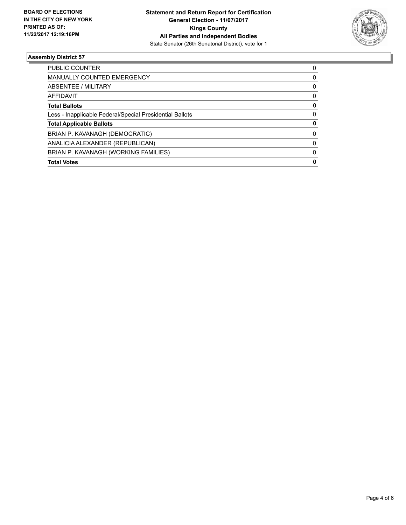

#### **Assembly District 57**

| <b>Total Votes</b>                                       | 0        |
|----------------------------------------------------------|----------|
| BRIAN P. KAVANAGH (WORKING FAMILIES)                     | $\Omega$ |
| ANALICIA ALEXANDER (REPUBLICAN)                          | $\Omega$ |
| BRIAN P. KAVANAGH (DEMOCRATIC)                           | 0        |
| <b>Total Applicable Ballots</b>                          | 0        |
| Less - Inapplicable Federal/Special Presidential Ballots | 0        |
| <b>Total Ballots</b>                                     | 0        |
| <b>AFFIDAVIT</b>                                         | 0        |
| ABSENTEE / MILITARY                                      | 0        |
| <b>MANUALLY COUNTED EMERGENCY</b>                        | 0        |
| PUBLIC COUNTER                                           | 0        |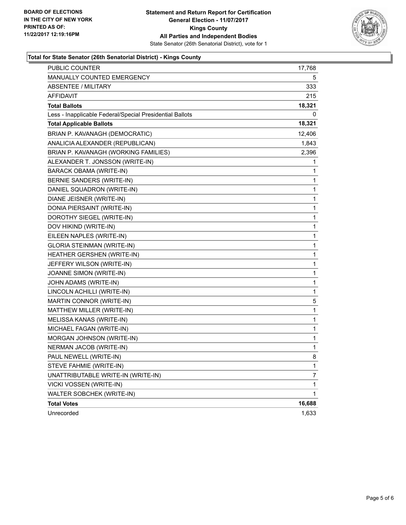

#### **Total for State Senator (26th Senatorial District) - Kings County**

| PUBLIC COUNTER                                           | 17,768       |
|----------------------------------------------------------|--------------|
| MANUALLY COUNTED EMERGENCY                               | 5            |
| <b>ABSENTEE / MILITARY</b>                               | 333          |
| AFFIDAVIT                                                | 215          |
| <b>Total Ballots</b>                                     | 18,321       |
| Less - Inapplicable Federal/Special Presidential Ballots | 0            |
| <b>Total Applicable Ballots</b>                          | 18,321       |
| BRIAN P. KAVANAGH (DEMOCRATIC)                           | 12,406       |
| ANALICIA ALEXANDER (REPUBLICAN)                          | 1,843        |
| BRIAN P. KAVANAGH (WORKING FAMILIES)                     | 2,396        |
| ALEXANDER T. JONSSON (WRITE-IN)                          | 1            |
| <b>BARACK OBAMA (WRITE-IN)</b>                           | 1            |
| BERNIE SANDERS (WRITE-IN)                                | 1            |
| DANIEL SQUADRON (WRITE-IN)                               | 1            |
| DIANE JEISNER (WRITE-IN)                                 | 1            |
| DONIA PIERSAINT (WRITE-IN)                               | 1            |
| DOROTHY SIEGEL (WRITE-IN)                                | 1            |
| DOV HIKIND (WRITE-IN)                                    | 1            |
| EILEEN NAPLES (WRITE-IN)                                 | 1            |
| <b>GLORIA STEINMAN (WRITE-IN)</b>                        | 1            |
| HEATHER GERSHEN (WRITE-IN)                               | 1            |
| JEFFERY WILSON (WRITE-IN)                                | 1            |
| JOANNE SIMON (WRITE-IN)                                  | 1            |
| JOHN ADAMS (WRITE-IN)                                    | 1            |
| LINCOLN ACHILLI (WRITE-IN)                               | 1            |
| MARTIN CONNOR (WRITE-IN)                                 | 5            |
| MATTHEW MILLER (WRITE-IN)                                | $\mathbf 1$  |
| MELISSA KANAS (WRITE-IN)                                 | 1            |
| MICHAEL FAGAN (WRITE-IN)                                 | 1            |
| MORGAN JOHNSON (WRITE-IN)                                | 1            |
| <b>NERMAN JACOB (WRITE-IN)</b>                           | 1            |
| PAUL NEWELL (WRITE-IN)                                   | 8            |
| STEVE FAHMIE (WRITE-IN)                                  | 1            |
| UNATTRIBUTABLE WRITE-IN (WRITE-IN)                       | 7            |
| VICKI VOSSEN (WRITE-IN)                                  | 1            |
| WALTER SOBCHEK (WRITE-IN)                                | $\mathbf{1}$ |
| <b>Total Votes</b>                                       | 16,688       |
| Unrecorded                                               | 1,633        |